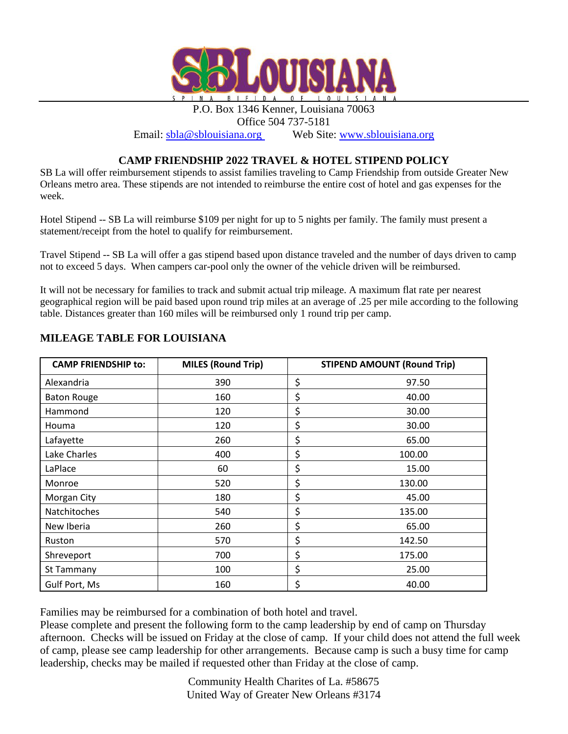

P.O. Box 1346 Kenner, Louisiana 70063 Office 504 737-5181

Email: [sbla@sblouisiana.org](mailto:sbla@sblouisiana.org) Web Site: [www.sblouisiana.org](http://www.sblouisiana.org/)

## **CAMP FRIENDSHIP 2022 TRAVEL & HOTEL STIPEND POLICY**

SB La will offer reimbursement stipends to assist families traveling to Camp Friendship from outside Greater New Orleans metro area. These stipends are not intended to reimburse the entire cost of hotel and gas expenses for the week.

Hotel Stipend -- SB La will reimburse \$109 per night for up to 5 nights per family. The family must present a statement/receipt from the hotel to qualify for reimbursement.

Travel Stipend -- SB La will offer a gas stipend based upon distance traveled and the number of days driven to camp not to exceed 5 days. When campers car-pool only the owner of the vehicle driven will be reimbursed.

It will not be necessary for families to track and submit actual trip mileage. A maximum flat rate per nearest geographical region will be paid based upon round trip miles at an average of .25 per mile according to the following table. Distances greater than 160 miles will be reimbursed only 1 round trip per camp.

| <b>CAMP FRIENDSHIP to:</b> | <b>MILES (Round Trip)</b> | <b>STIPEND AMOUNT (Round Trip)</b> |
|----------------------------|---------------------------|------------------------------------|
| Alexandria                 | 390                       | \$<br>97.50                        |
| <b>Baton Rouge</b>         | 160                       | \$<br>40.00                        |
| Hammond                    | 120                       | \$<br>30.00                        |
| Houma                      | 120                       | \$<br>30.00                        |
| Lafayette                  | 260                       | \$<br>65.00                        |
| Lake Charles               | 400                       | \$<br>100.00                       |
| LaPlace                    | 60                        | \$<br>15.00                        |
| Monroe                     | 520                       | \$<br>130.00                       |
| Morgan City                | 180                       | \$<br>45.00                        |
| Natchitoches               | 540                       | \$<br>135.00                       |
| New Iberia                 | 260                       | \$<br>65.00                        |
| Ruston                     | 570                       | \$<br>142.50                       |
| Shreveport                 | 700                       | \$<br>175.00                       |
| St Tammany                 | 100                       | \$<br>25.00                        |
| Gulf Port, Ms              | 160                       | \$<br>40.00                        |

## **MILEAGE TABLE FOR LOUISIANA**

Families may be reimbursed for a combination of both hotel and travel.

Please complete and present the following form to the camp leadership by end of camp on Thursday afternoon. Checks will be issued on Friday at the close of camp. If your child does not attend the full week of camp, please see camp leadership for other arrangements. Because camp is such a busy time for camp leadership, checks may be mailed if requested other than Friday at the close of camp.

> Community Health Charites of La. #58675 United Way of Greater New Orleans #3174